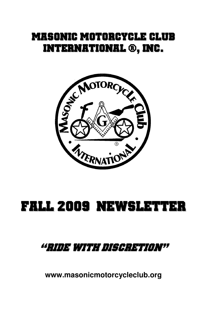# MASONIC MOTORCYCLE CLUB INTERNATIONAL ®, INC.



# FALL 2009 NEWSLETTER

# "RIDE WITH DISCRETION"

**www.masonicmotorcycleclub.org**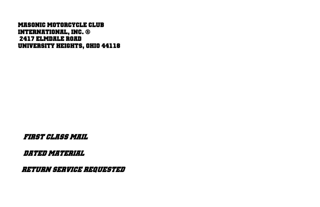#### MASONIC MOTORCYCLE CLUB INTERNATIONAL, INC. ® 2417 ELMDALE ROAD UNIVERSITY HEIGHTS, OHIO 44118

FIRST CLASS MAIL

DATED MATERIAL

RETURN SERVICE REQUESTED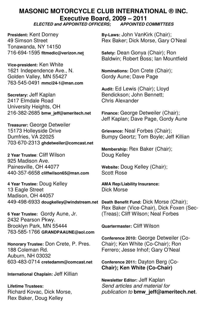# **MASONIC MOTORCYCLE CLUB INTERNATIONAL ® INC. Executive Board, 2009 – 2011**

#### **ELECTED and APPOINTED OFFICERS; APPOINTED COMMITTEES**

Tonawanda, NY 14150 716-694-1595 **fltmedic@verizon.net Safety:** Dean Gonya (Chair); Ron

**Vice-president:** Ken White Golden Valley, MN 55427 763-545-0491 **mmci24-1@msn.com**

**Secretary:** Jeff Kaplan Bendickson; John Bennett;<br>
2417 Fimdale Road Bendickson; Chris Alexander 2417 Elmdale Road University Heights, OH 216-382-2685 **bmw\_jeff@ameritech.net Finance:** George Detweiler (Chair);

**Treasurer:** George Detweiler 15173 Holleyside Drive **Grievance:** Neal Forbes (Chair); 703-670-2313 **ghdetweiler@comcast.net**

**2 Year Trustee: Cliff Wilson Communist Communist Property Doug Kelley** 925 Madison Ave. Painesville, OH 44077 **Website:** Doug Kelley (Chair); 440-357-6658 **cliffwilson65@msn.com** Scott Rose

**4 Year Trustee:** Doug Kelley **AMA Rep/Liability Insurance:** 13 Eagle Street Madison, OH 44057 449-498-6933 **dougkelley@windstream.net Death Benefit Fund:** Dick Morse (Chair);

**6 Year Trustee: Gordy Aune, Jr.** 2432 Pearson Pkwy. Brooklyn Park, MN 55444 **Quartermaster:** Cliff Wilson 763-585-1766 **GRANDPAAUNE@aol.com**

**Honorary Trustee: Don Crete, P. Pres.** 188 Coleman Rd. Ferrero; Jesse Inhof; Gary O'Neal Auburn, NH 03032 603-483-0714 **cretedamm@comcast.net Conference 2011:** Dayton Berg (Co-

**International Chaplain:** Jeff Killian

Rex Baker, Doug Kelley

**President:** Kent Dorney **By-Laws: John VanKirk (Chair);** 49 Simson Street **Rex Baker; Dick Morse, Gary O'Neal** 

Baldwin; Robert Boss; Ian Mountfield

**Nominations: Don Crete (Chair);<br>Gordy Aune: Dave Page** 

**Audit:** Ed Lewis (Chair); Lloyd

Jeff Kaplan; Dave Page, Gordy Aune

Bumpy Geortz; Tom Boyle; Jeff Killian

**Membership:** Rex Baker (Chair);

Rex Baker (Vice-Chair), Dick Foxen (Sec-<br>(Treas): Cliff Wilson: Neal Forbes

**Conference 2010:** George Detweiler (Co-

 **Chair); Ken White (Co-Chair)** 

 **Newsletter Editor:** Jeff Kaplan **Lifetime Trustees: Send articles and material for and interval terms** Send articles and material for **Richard** publication to **bmw** jeff@ameritech.net.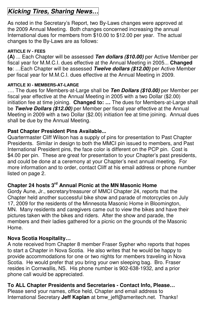# **Kicking Tires, Sharing News…**

As noted in the Secretary's Report, two By-Laws changes were approved at the 2009 Annual Meeting. Both changes concerned increasing the annual International dues for members from \$10.00 to \$12.00 per year. The actual changes to the By-Laws are as follows:

#### **ARTICLE IV - FEES**

**(A)** ... Each Chapter will be assessed **Ten dollars (\$10.00)** per Active Member per fiscal year for M.M.C.I. dues effective at the Annual Meeting in 2005... **Changed to**: …Each Chapter will be assessed **Twelve dollars (\$12.00)** per Active Member per fiscal year for M.M.C.I. dues effective at the Annual Meeting in 2009.

#### **ARTICLE XI - MEMBERS-AT-LARGE**

…. The dues for Members-at-Large shall be **Ten Dollars (\$10.00)** per Member per fiscal year effective at the Annual Meeting in 2005 with a two Dollar (\$2.00) initiation fee at time joining. **Changed to: …** The dues for Members-at-Large shall be **Twelve Dollars (\$12.00)** per Member per fiscal year effective at the Annual Meeting in 2009 with a two Dollar (\$2.00) initiation fee at time joining. Annual dues shall be due by the Annual Meeting.

#### **Past Chapter President Pins Available...**

Quartermaster Cliff Wilson has a supply of pins for presentation to Past Chapter Presidents. Similar in design to both the MMCI pin issued to members, and Past International President pins, the face color is different on the PCP pin. Cost is \$4.00 per pin. These are great for presentation to your Chapter's past presidents, and could be done at a ceremony at your Chapter's next annual meeting. For more information and to order, contact Cliff at his email address or phone number listed on page 2.

#### **Chapter 24 hosts 3rd Annual Picnic at the MN Masonic Home**

Gordy Aune, Jr., secretary/treasurer of MMCI Chapter 24, reports that the Chapter held another successful bike show and parade of motorcycles on July 17, 2009 for the residents of the Minnesota Masonic Home in Bloomington, MN. Many residents and caregivers came out to view the bikes and have their pictures taken with the bikes and riders. After the show and parade, the members and their ladies gathered for a picnic on the grounds of the Masonic Home.

#### **Nova Scotia Hospitality…**

A note received from Chapter 8 member Fraser Sypher who reports that hopes to start a Chapter in Nova Scotia. He also writes that he would be happy to provide accommodations for one or two nights for members traveling in Nova Scotia. He would prefer that you bring your own sleeping bag. Bro. Fraser resides in Cornwallis, NS. His phone number is 902-638-1932, and a prior phone call would be appreciated.

#### **To ALL Chapter Presidents and Secretaries - Contact Info, Please…**

Please send your names, office held, Chapter and email address to International Secretary **Jeff Kaplan** at bmw\_jeff@ameritech.net. Thanks!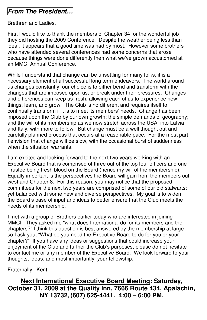## **From The President…**

Brethren and Ladies,

First I would like to thank the members of Chapter 34 for the wonderful job they did hosting the 2009 Conference. Despite the weather being less than ideal, it appears that a good time was had by most. However some brothers who have attended several conferences had some concerns that arose because things were done differently then what we've grown accustomed at an MMCI Annual Conference.

While I understand that change can be unsettling for many folks, it is a necessary element of all successful long term endeavors. The world around us changes constantly; our choice is to either bend and transform with the changes that are imposed upon us, or break under their pressures. Changes and differences can keep us fresh, allowing each of us to experience new things, learn, and grow. The Club is no different and requires itself to continually transform if it is to meet its members' needs. Change has been imposed upon the Club by our own growth; the simple demands of geography; and the will of its membership as we now stretch across the USA, into Latvia and Italy, with more to follow. But change must be a well thought out and carefully planned process that occurs at a reasonable pace. For the most part I envision that change will be slow, with the occasional burst of suddenness when the situation warrants.

I am excited and looking forward to the next two years working with an Executive Board that is comprised of three out of the top four officers and one Trustee being fresh blood on the Board (hence my will of the membership). Equally important is the perspectives the Board will gain from the members out west and Chapter 8. For this reason, you may notice that the proposed committees for the next two years are comprised of some of our old stalwarts; yet balanced with some new and diverse perspectives. My goal is to widen the Board's base of input and ideas to better ensure that the Club meets the needs of its membership.

I met with a group of Brothers earlier today who are interested in joining MMCI. They asked me "what does International do for its members and the chapters?" I think this question is best answered by the membership at large; so I ask you, "What do you need the Executive Board to do for you or your chapter?" If you have any ideas or suggestions that could increase your enjoyment of the Club and further the Club's purposes, please do not hesitate to contact me or any member of the Executive Board. We look forward to your thoughts, ideas, and most importantly, your fellowship.

Fraternally, Kent

#### **Next International Executive Board Meeting: Saturday, October 31, 2009 at the Quality Inn, 7666 Route 434, Apalachin, NY 13732, (607) 625-4441. 4:00 – 6:00 PM.**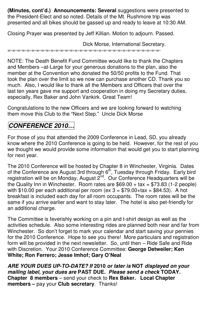**(Minutes, cont'd.) Announcements: Several** suggestions were presented to the President-Elect and so noted. Details of the Mt. Rushmore trip was presented and all bikes should be gassed up and ready to leave at 10:30 AM.

Closing Prayer was presented by Jeff Killian. Motion to adjourn. Passed.

Dick Morse, International Secretary.

=-=-=-=-=-=-=-=-=-=-=-=-=-=-=-=-=-=-=-=-=-=-=-=-=-=-=-=-=-=-=-=-

NOTE: The Death Benefit Fund Committee would like to thank the Chapters and Members –at-Large for your generous donations to the plan, also the member at the Convention who donated the 50/50 profits to the Fund. That took the plan over the limit so we now can purchase another CD. Thank you so much. Also, I would like to thank all the Members and Officers that over the last ten years gave me support and cooperation in doing my Secretary duties, especially, Rex Baker and John Vankirk. Great Team!

Congratulations to the new Officers and we are looking forward to watching them move this Club to the "Next Step." Uncle Dick Morse

## **CONFERENCE 2010…**

For those of you that attended the 2009 Conference in Lead, SD, you already know where the 2010 Conference is going to be held. However, for the rest of you we thought we would provide some information that would get you to start planning for next year.

The 2010 Conference will be hosted by Chapter 8 in Winchester, Virginia. Dates of the Conference are August 3rd through 6<sup>th</sup>, Tuesday through Friday. Early bird registration will be on Monday, August 2<sup>nd</sup>. Our Conference Headquarters will be the Quality Inn in Winchester. Room rates are  $$69.00 + tax = $73.83$  (1-2 people) with \$10.00 per each additional per room (ex  $3 = $79.00 + \text{tax} = $84.53$ ). A hot breakfast is included each day for all room occupants. The room rates will be the same if you arrive earlier and want to stay later. The hotel is also pet-friendly for an additional charge.

The Committee is feverishly working on a pin and t-shirt design as well as the activities schedule. Also some interesting rides are planned both near and far from Winchester. So don't forget to mark your calendar and start saving your pennies for the 2010 Conference. Hope to see you there! More particulars and registration form will be provided in the next newsletter. So, until then – Ride Safe and Ride with Discretion. Your 2010 Conference Committee: **George Detweiler; Ken White; Ron Ferrero; Jesse Imhof; Gary O'Neal** 

**ARE YOUR DUES UP-TO-DATE? If 2010 or later is NOT displayed on your mailing label, your dues are PAST DUE. Please send a check TODAY. Chapter 8 members** – send your check to **Rex Baker. Local Chapter members –** pay your **Club secretary**. Thanks!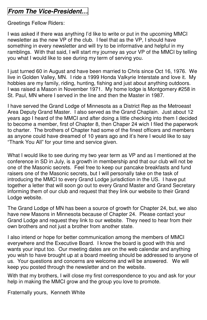# **From The Vice-President…**

Greetings Fellow Riders:

I was asked if there was anything I'd like to write or put in the upcoming MMCI newsletter as the new VP of the club. I feel that as the VP, I should have something in every newsletter and will try to be informative and helpful in my ramblings. With that said, I will start my journey as your VP of the MMCI by telling you what I would like to see during my term of serving you.

I just turned 60 in August and have been married to Chris since Oct 16, 1976. We live in Golden Valley, MN. I ride a 1999 Honda Valkyrie Interstate and love it. My hobbies are my family, riding, hunting, fishing and just about anything outdoors. I was raised a Mason in November 1971. My home lodge is Montgomery #258 in St. Paul, MN where I served in the line and then the Master in 1987.

I have served the Grand Lodge of Minnesota as a District Rep as the Metroeast Area Deputy Grand Master. I also served as the Grand Chaplain. Just about 12 years ago I heard of the MMCI and after doing a little checking into them I decided to become a member, first of Chapter 8, then Chaper 24 wich I filed the paperwork to charter. The brothers of Chapter had some of the finest officers and members as anyone could have dreamed of 10 years ago and it's here I would like to say "Thank You All" for your time and service given.

What I would like to see during my two year term as VP and as I mentioned at the conference in SD in July, is a growth in membership and that our club will not be one of the Masonic secrets. Feel free to keep our pancake breakfasts and fund raisers one of the Masonic secrets, but I will personally take on the task of introducing the MMCI to every Grand Lodge jurisdiction in the US. I have put together a letter that will soon go out to every Grand Master and Grand Secretary informing them of our club and request that they link our website to their Grand Lodge website.

The Grand Lodge of MN has been a source of growth for Chapter 24, but, we also have new Masons in Minnesota because of Chapter 24. Please contact your Grand Lodge and request they link to our website. They need to hear from their own brothers and not just a brother from another state.

I also intend or hope for better communication among the members of MMCI everywhere and the Executive Board. I know the board is good with this and wants your input too. Our meeting dates are on the web calendar and anything you wish to have brought up at a board meeting should be addressed to anyone of us. Your questions and concerns are welcome and will be answered. We will keep you posted through the newsletter and on the website.

With that my brothers, I will close my first correspondence to you and ask for your help in making the MMCI grow and the group you love to promote.

Fraternally yours, Kenneth White